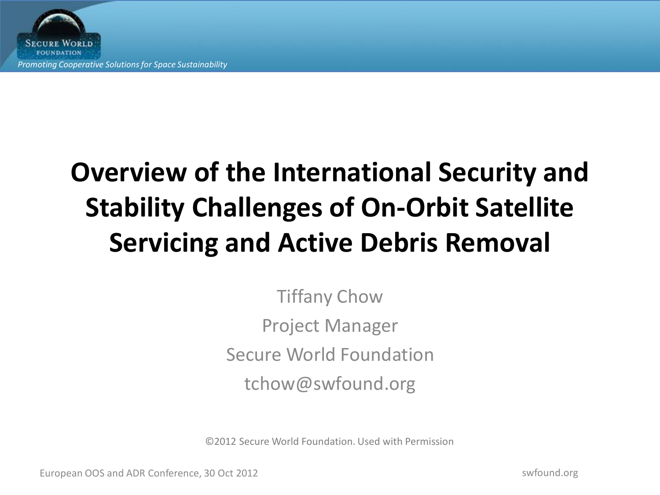

## **Overview of the International Security and Stability Challenges of On-Orbit Satellite Servicing and Active Debris Removal**

Tiffany Chow Project Manager Secure World Foundation tchow@swfound.org

©2012 Secure World Foundation. Used with Permission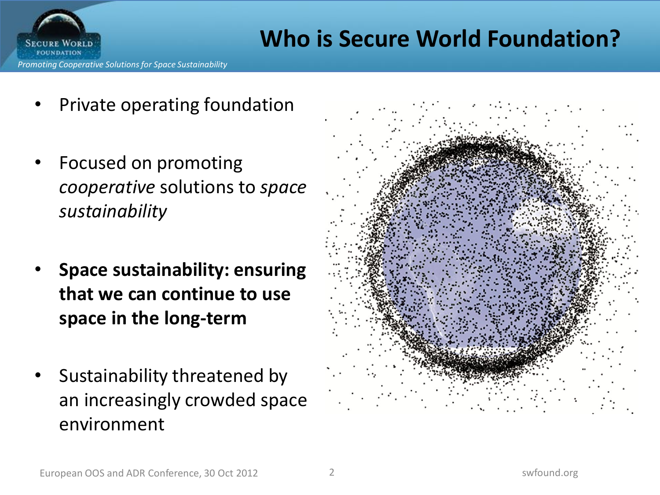

#### **Who is Secure World Foundation?**

- Private operating foundation
- Focused on promoting *cooperative* solutions to *space sustainability*
- **Space sustainability: ensuring that we can continue to use space in the long-term**
- Sustainability threatened by an increasingly crowded space environment

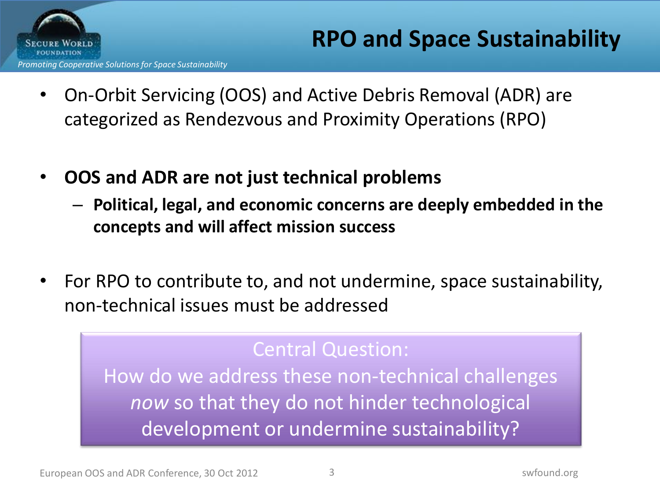

- On-Orbit Servicing (OOS) and Active Debris Removal (ADR) are categorized as Rendezvous and Proximity Operations (RPO)
- **OOS and ADR are not just technical problems**
	- **Political, legal, and economic concerns are deeply embedded in the concepts and will affect mission success**
- For RPO to contribute to, and not undermine, space sustainability, non-technical issues must be addressed

#### Central Question:

How do we address these non-technical challenges *now* so that they do not hinder technological development or undermine sustainability?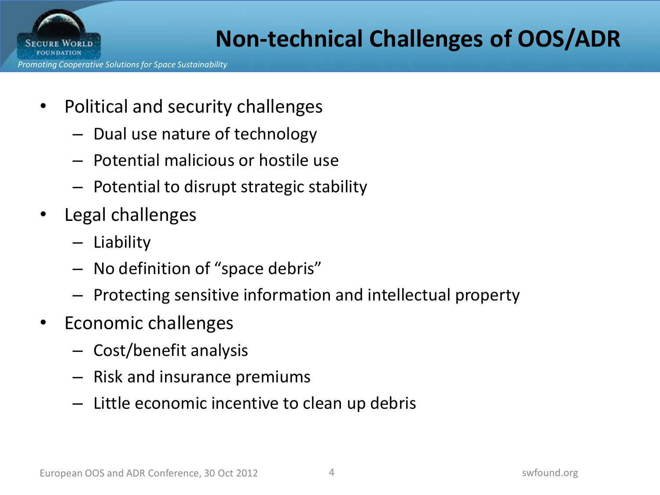

### **Non-technical Challenges of OOS/ADR**

- Political and security challenges
	- Dual use nature of technology
	- Potential malicious or hostile use
	- Potential to disrupt strategic stability
- Legal challenges
	- Liability
	- No definition of "space debris"
	- Protecting sensitive information and intellectual property
- Economic challenges
	- Cost/benefit analysis
	- Risk and insurance premiums
	- Little economic incentive to clean up debris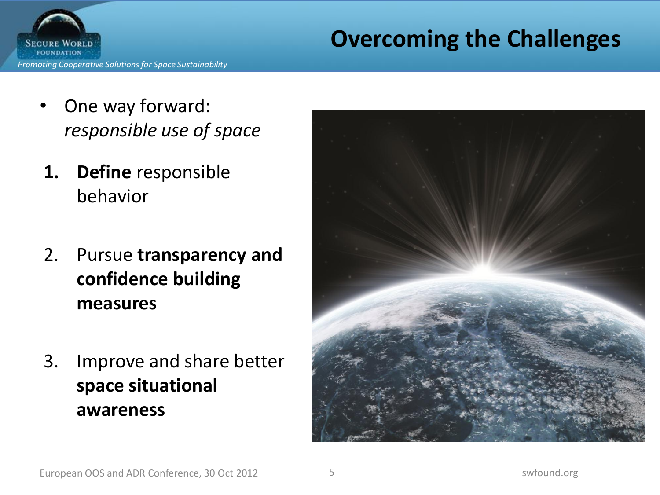### **Overcoming the Challenges**



- One way forward: *responsible use of space*
- **1. Define** responsible behavior
- 2. Pursue **transparency and confidence building measures**
- 3. Improve and share better **space situational awareness**